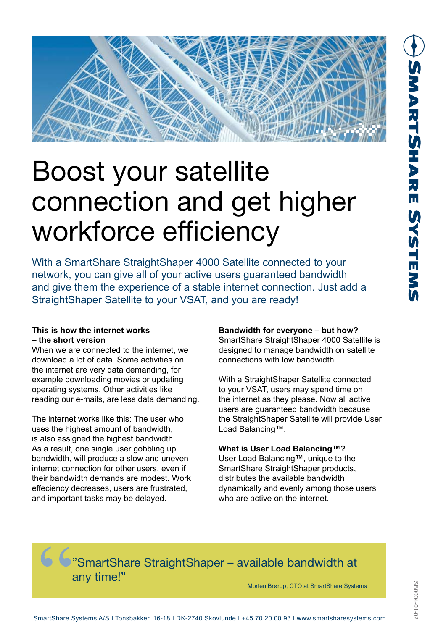

# Boost your satellite connection and get higher workforce efficiency

With a SmartShare StraightShaper 4000 Satellite connected to your network, you can give all of your active users guaranteed bandwidth and give them the experience of a stable internet connection. Just add a StraightShaper Satellite to your VSAT, and you are ready!

# **This is how the internet works – the short version**

When we are connected to the internet, we download a lot of data. Some activities on the internet are very data demanding, for example downloading movies or updating operating systems. Other activities like reading our e-mails, are less data demanding.

The internet works like this: The user who uses the highest amount of bandwidth, is also assigned the highest bandwidth. As a result, one single user gobbling up bandwidth, will produce a slow and uneven internet connection for other users, even if their bandwidth demands are modest. Work effeciency decreases, users are frustrated, and important tasks may be delayed.

# **Bandwidth for everyone – but how?**

SmartShare StraightShaper 4000 Satellite is designed to manage bandwidth on satellite connections with low bandwidth.

With a StraightShaper Satellite connected to your VSAT, users may spend time on the internet as they please. Now all active users are guaranteed bandwidth because the StraightShaper Satellite will provide User Load Balancing™.

# **What is User Load Balancing™?**

User Load Balancing™, unique to the SmartShare StraightShaper products, distributes the available bandwidth dynamically and evenly among those users who are active on the internet.

# $\bullet$  SmartShare StraightShaper – available bandwidth at any time!"

Morten Brørup, CTO at SmartShare Systems